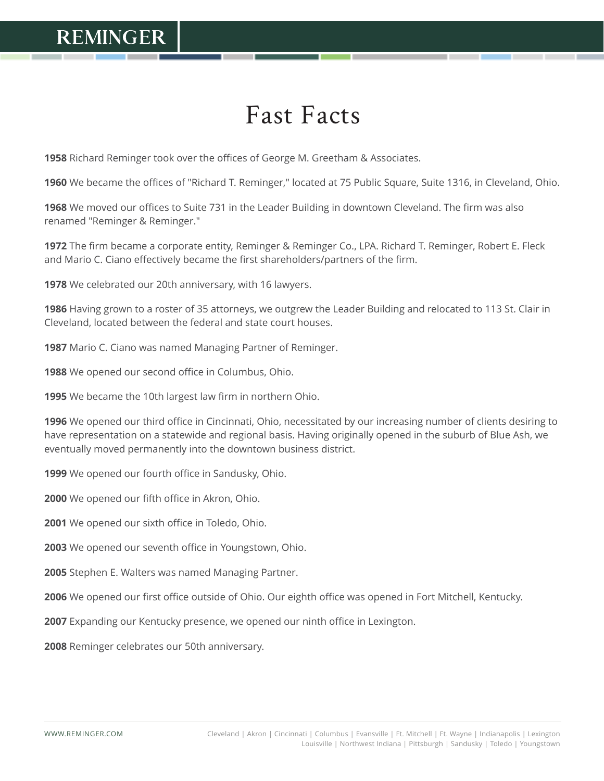## **REMINGER**

## Fast Facts

Richard Reminger took over the offices of George M. Greetham & Associates.

We became the offices of "Richard T. Reminger," located at 75 Public Square, Suite 1316, in Cleveland, Ohio.

 We moved our offices to Suite 731 in the Leader Building in downtown Cleveland. The firm was also renamed "Reminger & Reminger."

 The firm became a corporate entity, Reminger & Reminger Co., LPA. Richard T. Reminger, Robert E. Fleck and Mario C. Ciano effectively became the first shareholders/partners of the firm.

We celebrated our 20th anniversary, with 16 lawyers.

 Having grown to a roster of 35 attorneys, we outgrew the Leader Building and relocated to 113 St. Clair in Cleveland, located between the federal and state court houses.

Mario C. Ciano was named Managing Partner of Reminger.

We opened our second office in Columbus, Ohio.

We became the 10th largest law firm in northern Ohio.

 We opened our third office in Cincinnati, Ohio, necessitated by our increasing number of clients desiring to have representation on a statewide and regional basis. Having originally opened in the suburb of Blue Ash, we eventually moved permanently into the downtown business district.

We opened our fourth office in Sandusky, Ohio.

We opened our fifth office in Akron, Ohio.

We opened our sixth office in Toledo, Ohio.

We opened our seventh office in Youngstown, Ohio.

Stephen E. Walters was named Managing Partner.

We opened our first office outside of Ohio. Our eighth office was opened in Fort Mitchell, Kentucky.

Expanding our Kentucky presence, we opened our ninth office in Lexington.

Reminger celebrates our 50th anniversary.